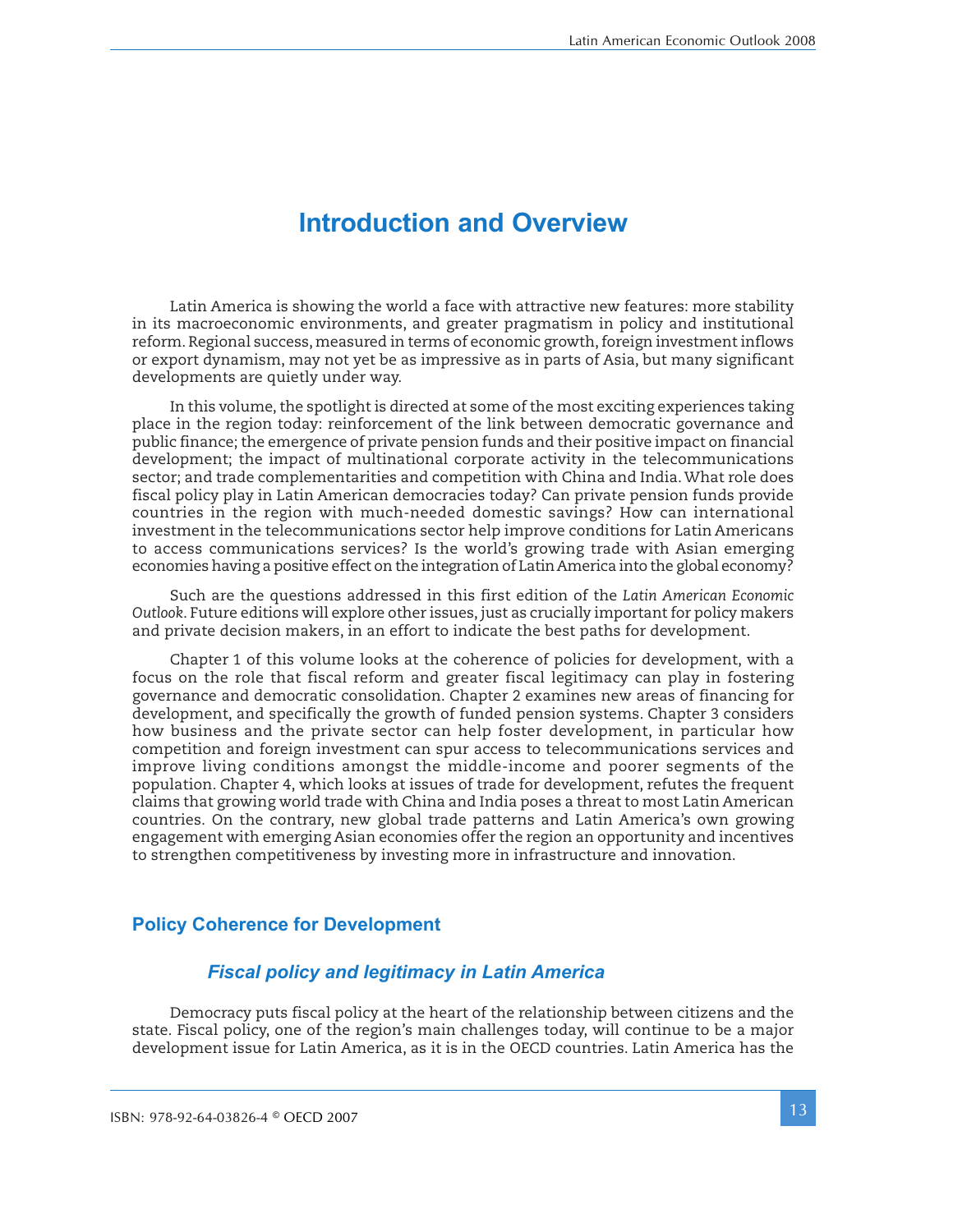# **Introduction and Overview**

Latin America is showing the world a face with attractive new features: more stability in its macroeconomic environments, and greater pragmatism in policy and institutional reform. Regional success, measured in terms of economic growth, foreign investment inflows or export dynamism, may not yet be as impressive as in parts of Asia, but many significant developments are quietly under way.

In this volume, the spotlight is directed at some of the most exciting experiences taking place in the region today: reinforcement of the link between democratic governance and public finance; the emergence of private pension funds and their positive impact on financial development; the impact of multinational corporate activity in the telecommunications sector; and trade complementarities and competition with China and India. What role does fiscal policy play in Latin American democracies today? Can private pension funds provide countries in the region with much-needed domestic savings? How can international investment in the telecommunications sector help improve conditions for Latin Americans to access communications services? Is the world's growing trade with Asian emerging economies having a positive effect on the integration of Latin America into the global economy?

Such are the questions addressed in this first edition of the *Latin American Economic Outlook*. Future editions will explore other issues, just as crucially important for policy makers and private decision makers, in an effort to indicate the best paths for development.

Chapter 1 of this volume looks at the coherence of policies for development, with a focus on the role that fiscal reform and greater fiscal legitimacy can play in fostering governance and democratic consolidation. Chapter 2 examines new areas of financing for development, and specifically the growth of funded pension systems. Chapter 3 considers how business and the private sector can help foster development, in particular how competition and foreign investment can spur access to telecommunications services and improve living conditions amongst the middle-income and poorer segments of the population. Chapter 4, which looks at issues of trade for development, refutes the frequent claims that growing world trade with China and India poses a threat to most Latin American countries. On the contrary, new global trade patterns and Latin America's own growing engagement with emerging Asian economies offer the region an opportunity and incentives to strengthen competitiveness by investing more in infrastructure and innovation.

# **Policy Coherence for Development**

# *Fiscal policy and legitimacy in Latin America*

Democracy puts fiscal policy at the heart of the relationship between citizens and the state. Fiscal policy, one of the region's main challenges today, will continue to be a major development issue for Latin America, as it is in the OECD countries. Latin America has the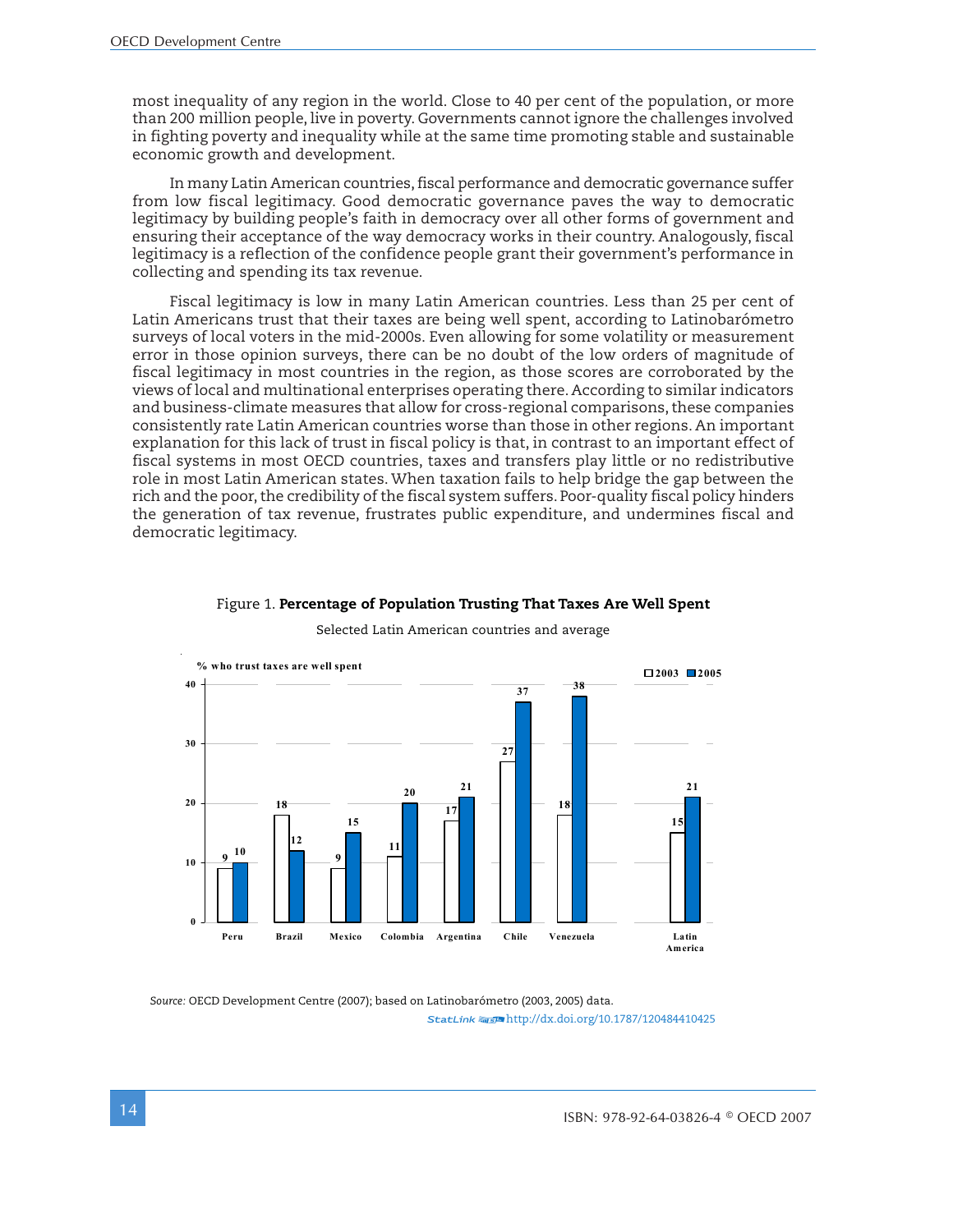most inequality of any region in the world. Close to 40 per cent of the population, or more than 200 million people, live in poverty. Governments cannot ignore the challenges involved in fighting poverty and inequality while at the same time promoting stable and sustainable economic growth and development.

In many Latin American countries, fiscal performance and democratic governance suffer from low fiscal legitimacy. Good democratic governance paves the way to democratic legitimacy by building people's faith in democracy over all other forms of government and ensuring their acceptance of the way democracy works in their country. Analogously, fiscal legitimacy is a reflection of the confidence people grant their government's performance in collecting and spending its tax revenue.

Fiscal legitimacy is low in many Latin American countries. Less than 25 per cent of Latin Americans trust that their taxes are being well spent, according to Latinobarómetro surveys of local voters in the mid-2000s. Even allowing for some volatility or measurement error in those opinion surveys, there can be no doubt of the low orders of magnitude of fiscal legitimacy in most countries in the region, as those scores are corroborated by the views of local and multinational enterprises operating there. According to similar indicators and business-climate measures that allow for cross-regional comparisons, these companies consistently rate Latin American countries worse than those in other regions. An important explanation for this lack of trust in fiscal policy is that, in contrast to an important effect of fiscal systems in most OECD countries, taxes and transfers play little or no redistributive role in most Latin American states. When taxation fails to help bridge the gap between the rich and the poor, the credibility of the fiscal system suffers. Poor-quality fiscal policy hinders the generation of tax revenue, frustrates public expenditure, and undermines fiscal and democratic legitimacy.



### Figure 1. **Percentage of Population Trusting That Taxes Are Well Spent**

#### Selected Latin American countries and average

*Source:* OECD Development Centre (2007); based on Latinobarómetro (2003, 2005) data. 12http://dx.doi.org/10.1787/120484410425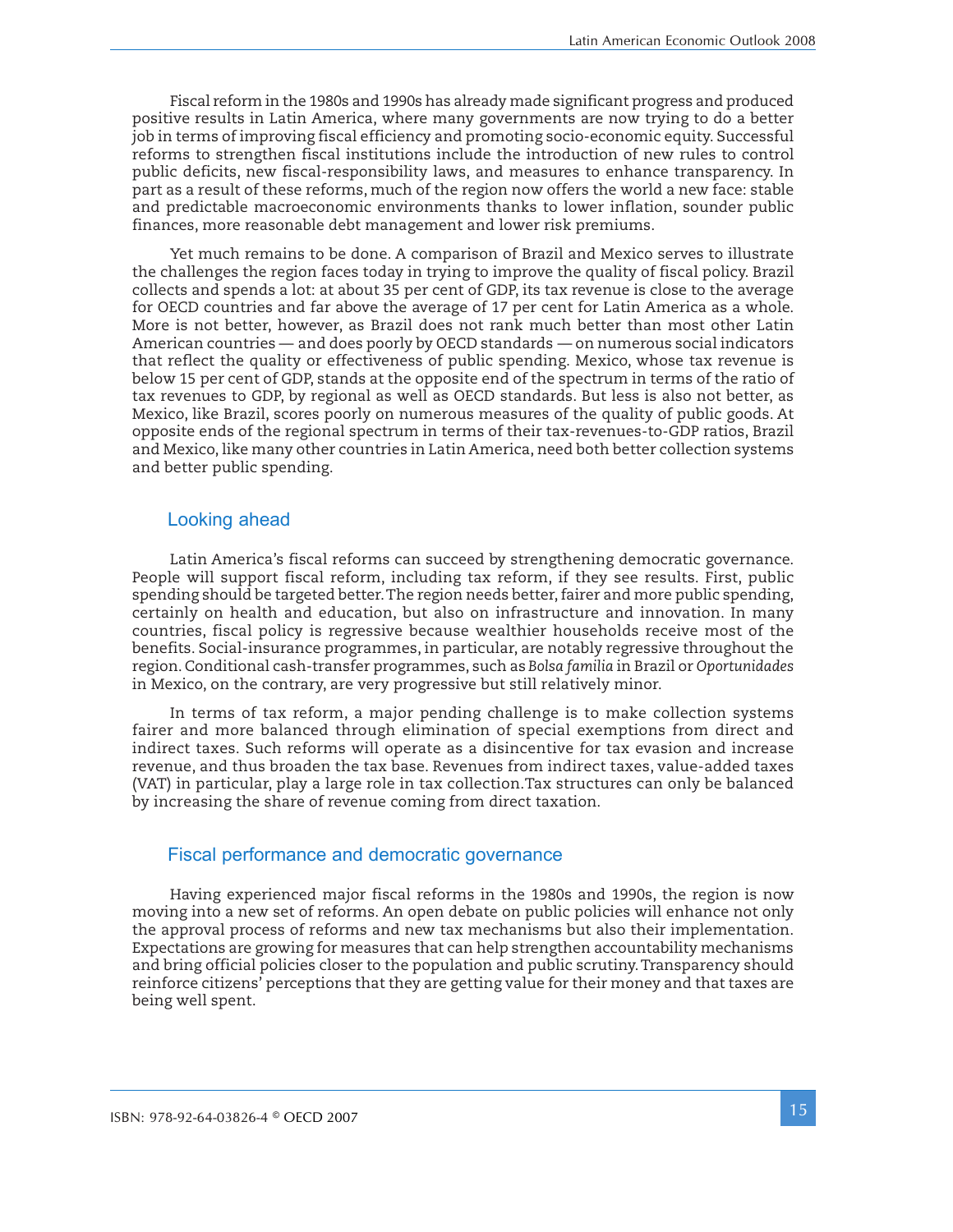Fiscal reform in the 1980s and 1990s has already made significant progress and produced positive results in Latin America, where many governments are now trying to do a better job in terms of improving fiscal efficiency and promoting socio-economic equity. Successful reforms to strengthen fiscal institutions include the introduction of new rules to control public deficits, new fiscal-responsibility laws, and measures to enhance transparency. In part as a result of these reforms, much of the region now offers the world a new face: stable and predictable macroeconomic environments thanks to lower inflation, sounder public finances, more reasonable debt management and lower risk premiums.

Yet much remains to be done. A comparison of Brazil and Mexico serves to illustrate the challenges the region faces today in trying to improve the quality of fiscal policy. Brazil collects and spends a lot: at about 35 per cent of GDP, its tax revenue is close to the average for OECD countries and far above the average of 17 per cent for Latin America as a whole. More is not better, however, as Brazil does not rank much better than most other Latin American countries — and does poorly by OECD standards — on numerous social indicators that reflect the quality or effectiveness of public spending. Mexico, whose tax revenue is below 15 per cent of GDP, stands at the opposite end of the spectrum in terms of the ratio of tax revenues to GDP, by regional as well as OECD standards. But less is also not better, as Mexico, like Brazil, scores poorly on numerous measures of the quality of public goods. At opposite ends of the regional spectrum in terms of their tax-revenues-to-GDP ratios, Brazil and Mexico, like many other countries in Latin America, need both better collection systems and better public spending.

# Looking ahead

Latin America's fiscal reforms can succeed by strengthening democratic governance. People will support fiscal reform, including tax reform, if they see results. First, public spending should be targeted better. The region needs better, fairer and more public spending, certainly on health and education, but also on infrastructure and innovation. In many countries, fiscal policy is regressive because wealthier households receive most of the benefits. Social-insurance programmes, in particular, are notably regressive throughout the region. Conditional cash-transfer programmes, such as *Bolsa familia* in Brazil or *Oportunidades* in Mexico, on the contrary, are very progressive but still relatively minor.

In terms of tax reform, a major pending challenge is to make collection systems fairer and more balanced through elimination of special exemptions from direct and indirect taxes. Such reforms will operate as a disincentive for tax evasion and increase revenue, and thus broaden the tax base. Revenues from indirect taxes, value-added taxes (VAT) in particular, play a large role in tax collection.Tax structures can only be balanced by increasing the share of revenue coming from direct taxation.

# Fiscal performance and democratic governance

Having experienced major fiscal reforms in the 1980s and 1990s, the region is now moving into a new set of reforms. An open debate on public policies will enhance not only the approval process of reforms and new tax mechanisms but also their implementation. Expectations are growing for measures that can help strengthen accountability mechanisms and bring official policies closer to the population and public scrutiny. Transparency should reinforce citizens' perceptions that they are getting value for their money and that taxes are being well spent.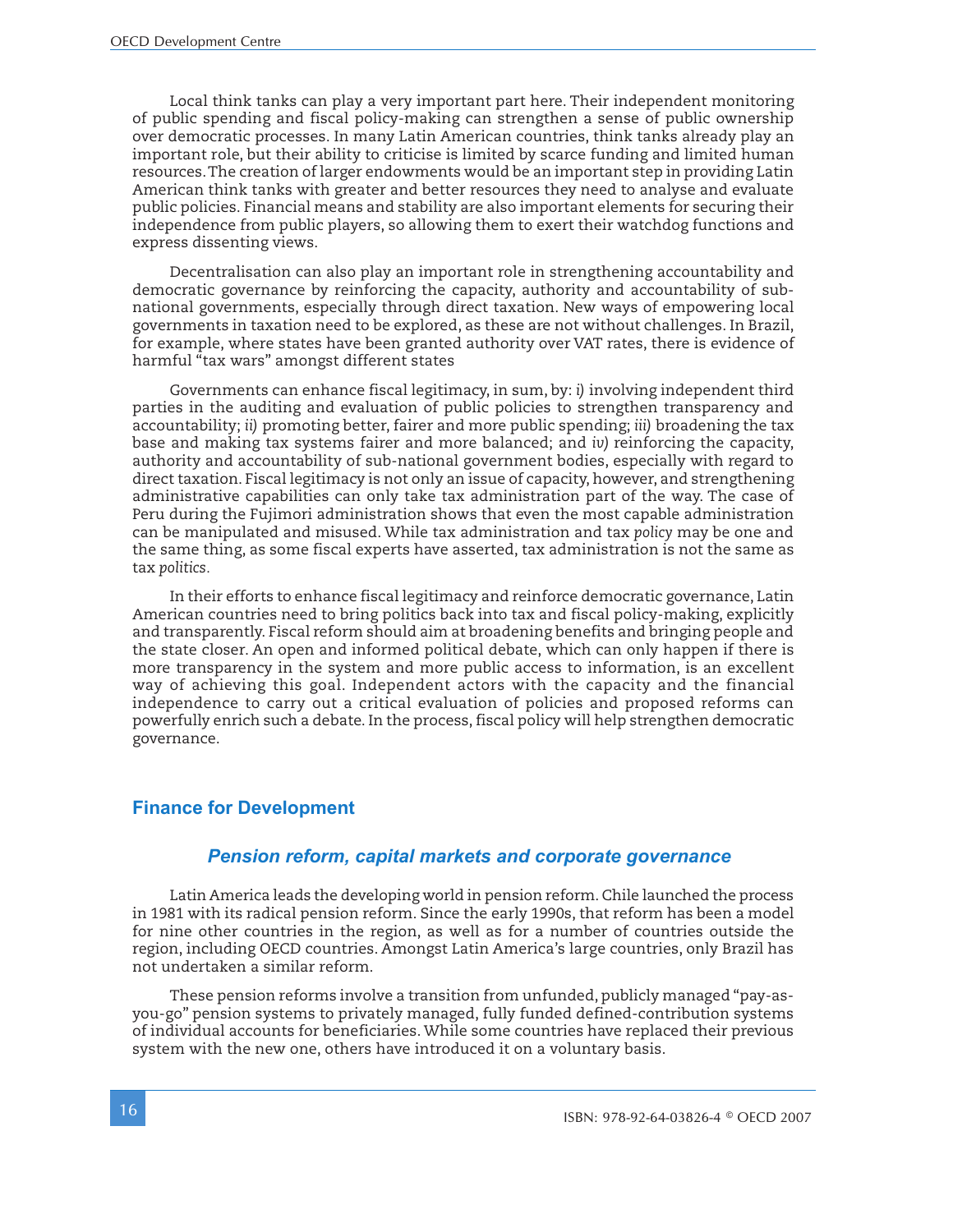Local think tanks can play a very important part here. Their independent monitoring of public spending and fiscal policy-making can strengthen a sense of public ownership over democratic processes. In many Latin American countries, think tanks already play an important role, but their ability to criticise is limited by scarce funding and limited human resources. The creation of larger endowments would be an important step in providing Latin American think tanks with greater and better resources they need to analyse and evaluate public policies. Financial means and stability are also important elements for securing their independence from public players, so allowing them to exert their watchdog functions and express dissenting views.

Decentralisation can also play an important role in strengthening accountability and democratic governance by reinforcing the capacity, authority and accountability of subnational governments, especially through direct taxation. New ways of empowering local governments in taxation need to be explored, as these are not without challenges. In Brazil, for example, where states have been granted authority over VAT rates, there is evidence of harmful "tax wars" amongst different states

Governments can enhance fiscal legitimacy, in sum, by: *i)* involving independent third parties in the auditing and evaluation of public policies to strengthen transparency and accountability; *ii)* promoting better, fairer and more public spending; *iii)* broadening the tax base and making tax systems fairer and more balanced; and *iv)* reinforcing the capacity, authority and accountability of sub-national government bodies, especially with regard to direct taxation. Fiscal legitimacy is not only an issue of capacity, however, and strengthening administrative capabilities can only take tax administration part of the way. The case of Peru during the Fujimori administration shows that even the most capable administration can be manipulated and misused. While tax administration and tax *policy* may be one and the same thing, as some fiscal experts have asserted, tax administration is not the same as tax *politics.*

In their efforts to enhance fiscal legitimacy and reinforce democratic governance, Latin American countries need to bring politics back into tax and fiscal policy-making, explicitly and transparently. Fiscal reform should aim at broadening benefits and bringing people and the state closer. An open and informed political debate, which can only happen if there is more transparency in the system and more public access to information, is an excellent way of achieving this goal. Independent actors with the capacity and the financial independence to carry out a critical evaluation of policies and proposed reforms can powerfully enrich such a debate. In the process, fiscal policy will help strengthen democratic governance.

# **Finance for Development**

# *Pension reform, capital markets and corporate governance*

Latin America leads the developing world in pension reform. Chile launched the process in 1981 with its radical pension reform. Since the early 1990s, that reform has been a model for nine other countries in the region, as well as for a number of countries outside the region, including OECD countries. Amongst Latin America's large countries, only Brazil has not undertaken a similar reform.

These pension reforms involve a transition from unfunded, publicly managed "pay-asyou-go" pension systems to privately managed, fully funded defined-contribution systems of individual accounts for beneficiaries. While some countries have replaced their previous system with the new one, others have introduced it on a voluntary basis.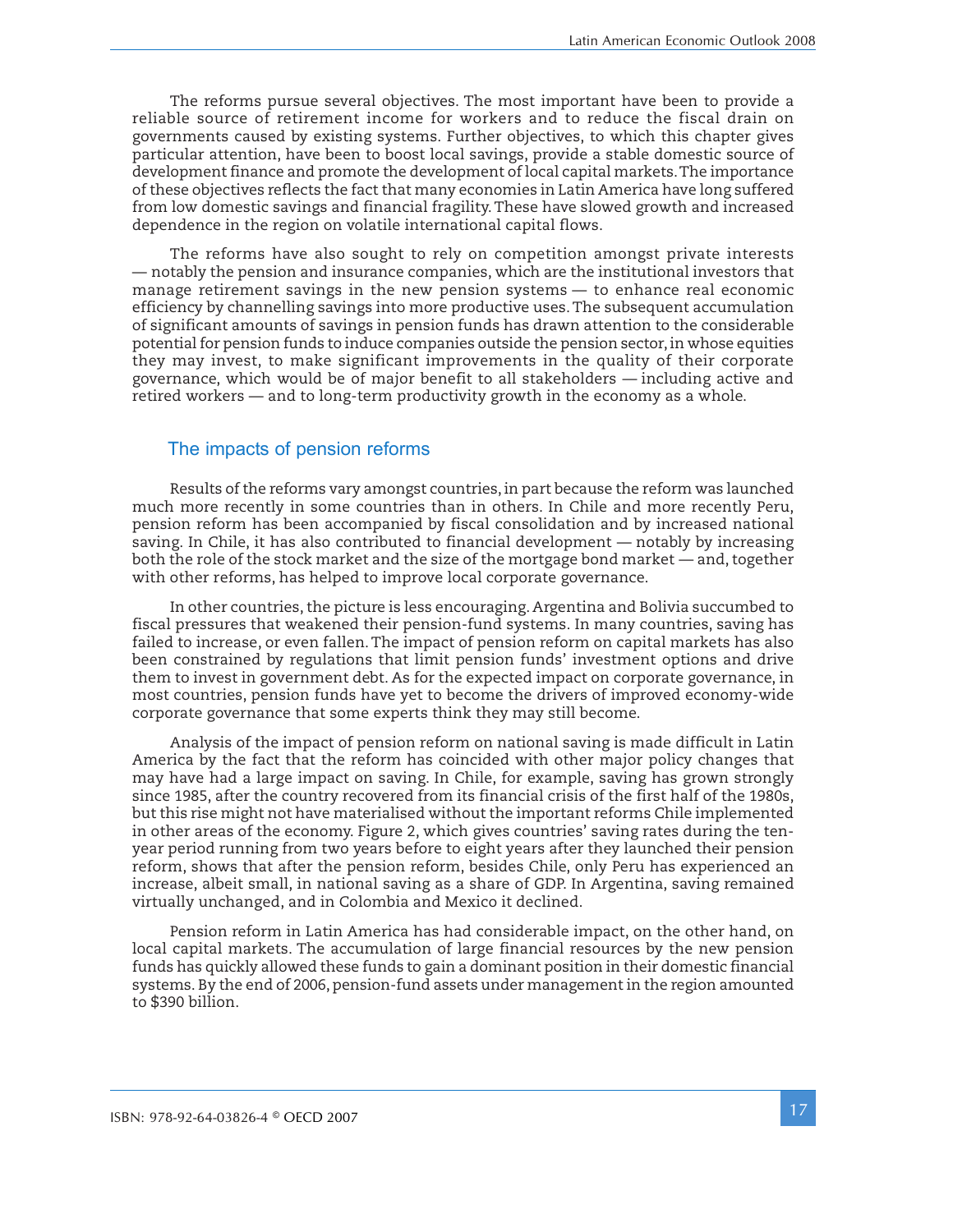The reforms pursue several objectives. The most important have been to provide a reliable source of retirement income for workers and to reduce the fiscal drain on governments caused by existing systems. Further objectives, to which this chapter gives particular attention, have been to boost local savings, provide a stable domestic source of development finance and promote the development of local capital markets. The importance of these objectives reflects the fact that many economies in Latin America have long suffered from low domestic savings and financial fragility. These have slowed growth and increased dependence in the region on volatile international capital flows.

The reforms have also sought to rely on competition amongst private interests — notably the pension and insurance companies, which are the institutional investors that manage retirement savings in the new pension systems — to enhance real economic efficiency by channelling savings into more productive uses. The subsequent accumulation of significant amounts of savings in pension funds has drawn attention to the considerable potential for pension funds to induce companies outside the pension sector, in whose equities they may invest, to make significant improvements in the quality of their corporate governance, which would be of major benefit to all stakeholders — including active and retired workers — and to long-term productivity growth in the economy as a whole.

# The impacts of pension reforms

Results of the reforms vary amongst countries, in part because the reform was launched much more recently in some countries than in others. In Chile and more recently Peru, pension reform has been accompanied by fiscal consolidation and by increased national saving. In Chile, it has also contributed to financial development — notably by increasing both the role of the stock market and the size of the mortgage bond market — and, together with other reforms, has helped to improve local corporate governance.

In other countries, the picture is less encouraging. Argentina and Bolivia succumbed to fiscal pressures that weakened their pension-fund systems. In many countries, saving has failed to increase, or even fallen. The impact of pension reform on capital markets has also been constrained by regulations that limit pension funds' investment options and drive them to invest in government debt. As for the expected impact on corporate governance, in most countries, pension funds have yet to become the drivers of improved economy-wide corporate governance that some experts think they may still become.

Analysis of the impact of pension reform on national saving is made difficult in Latin America by the fact that the reform has coincided with other major policy changes that may have had a large impact on saving. In Chile, for example, saving has grown strongly since 1985, after the country recovered from its financial crisis of the first half of the 1980s, but this rise might not have materialised without the important reforms Chile implemented in other areas of the economy. Figure 2, which gives countries' saving rates during the tenyear period running from two years before to eight years after they launched their pension reform, shows that after the pension reform, besides Chile, only Peru has experienced an increase, albeit small, in national saving as a share of GDP. In Argentina, saving remained virtually unchanged, and in Colombia and Mexico it declined.

Pension reform in Latin America has had considerable impact, on the other hand, on local capital markets. The accumulation of large financial resources by the new pension funds has quickly allowed these funds to gain a dominant position in their domestic financial systems. By the end of 2006, pension-fund assets under management in the region amounted to \$390 billion.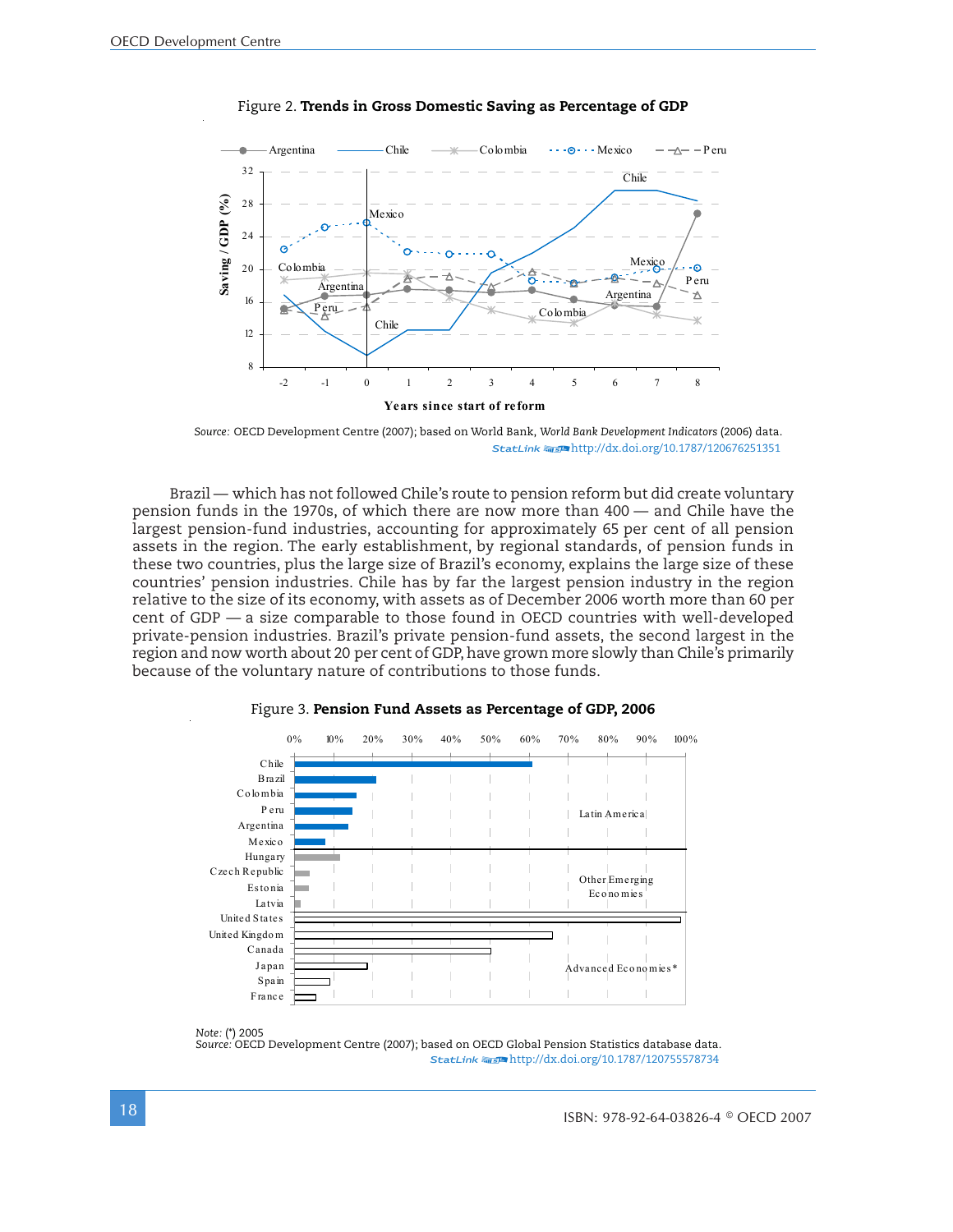

#### Figure 2. **Trends in Gross Domestic Saving as Percentage of GDP**

*Source:* OECD Development Centre (2007); based on World Bank, *World Bank Development Indicators* (2006) data. StatLink as http://dx.doi.org/10.1787/120676251351

Brazil — which has not followed Chile's route to pension reform but did create voluntary pension funds in the 1970s, of which there are now more than 400 — and Chile have the largest pension-fund industries, accounting for approximately 65 per cent of all pension assets in the region. The early establishment, by regional standards, of pension funds in these two countries, plus the large size of Brazil's economy, explains the large size of these countries' pension industries. Chile has by far the largest pension industry in the region relative to the size of its economy, with assets as of December 2006 worth more than 60 per cent of GDP — a size comparable to those found in OECD countries with well-developed private-pension industries. Brazil's private pension-fund assets, the second largest in the region and now worth about 20 per cent of GDP, have grown more slowly than Chile's primarily because of the voluntary nature of contributions to those funds.



#### Figure 3. **Pension Fund Assets as Percentage of GDP, 2006**

*Source:* OECD Development Centre (2007); based on OECD Global Pension Statistics database data. StatLink @s http://dx.doi.org/10.1787/120755578734

*Note:* (\*) 2005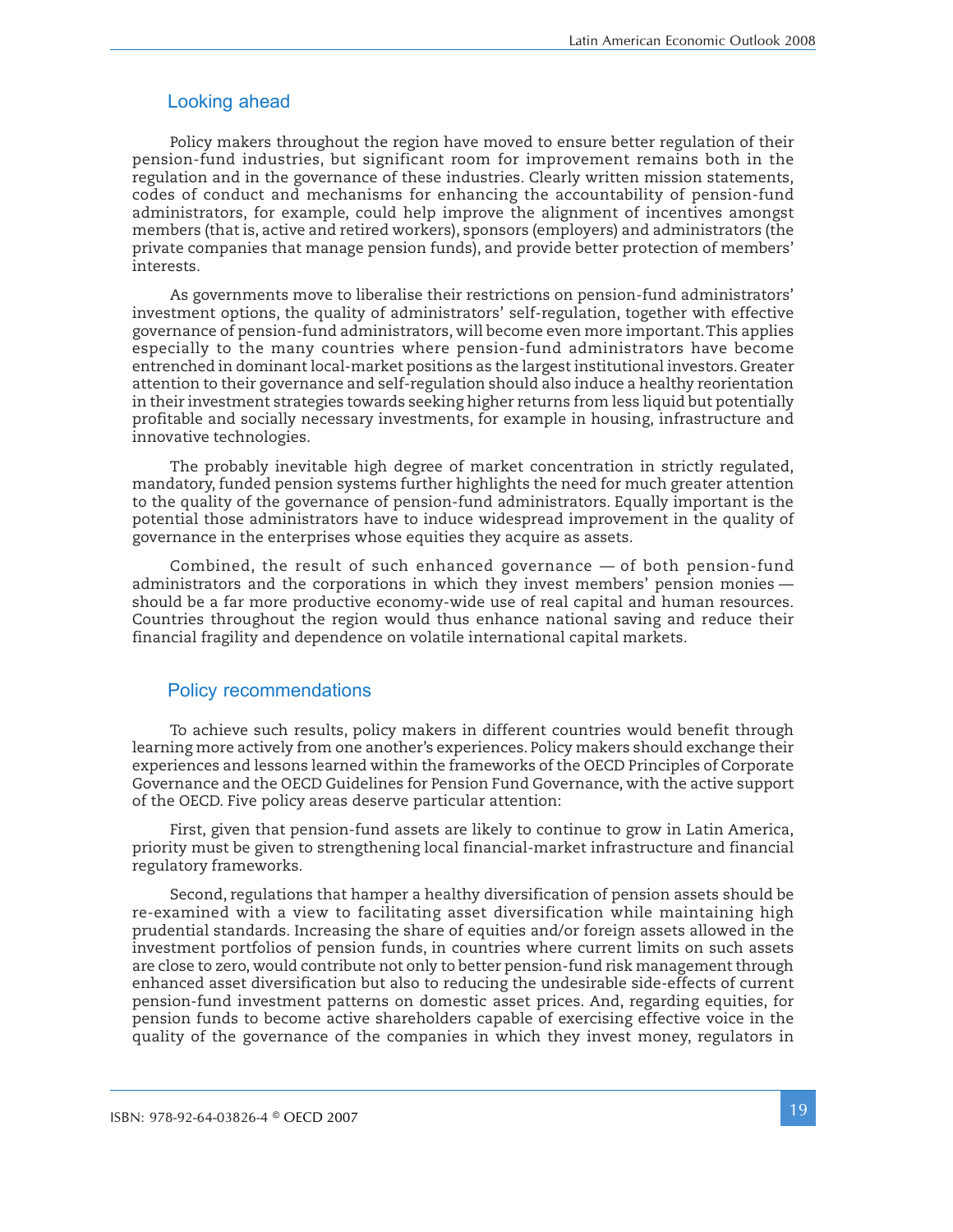# Looking ahead

Policy makers throughout the region have moved to ensure better regulation of their pension-fund industries, but significant room for improvement remains both in the regulation and in the governance of these industries. Clearly written mission statements, codes of conduct and mechanisms for enhancing the accountability of pension-fund administrators, for example, could help improve the alignment of incentives amongst members (that is, active and retired workers), sponsors (employers) and administrators (the private companies that manage pension funds), and provide better protection of members' interests.

As governments move to liberalise their restrictions on pension-fund administrators' investment options, the quality of administrators' self-regulation, together with effective governance of pension-fund administrators, will become even more important. This applies especially to the many countries where pension-fund administrators have become entrenched in dominant local-market positions as the largest institutional investors. Greater attention to their governance and self-regulation should also induce a healthy reorientation in their investment strategies towards seeking higher returns from less liquid but potentially profitable and socially necessary investments, for example in housing, infrastructure and innovative technologies.

The probably inevitable high degree of market concentration in strictly regulated, mandatory, funded pension systems further highlights the need for much greater attention to the quality of the governance of pension-fund administrators. Equally important is the potential those administrators have to induce widespread improvement in the quality of governance in the enterprises whose equities they acquire as assets.

Combined, the result of such enhanced governance — of both pension-fund administrators and the corporations in which they invest members' pension monies should be a far more productive economy-wide use of real capital and human resources. Countries throughout the region would thus enhance national saving and reduce their financial fragility and dependence on volatile international capital markets.

# Policy recommendations

To achieve such results, policy makers in different countries would benefit through learning more actively from one another's experiences. Policy makers should exchange their experiences and lessons learned within the frameworks of the OECD Principles of Corporate Governance and the OECD Guidelines for Pension Fund Governance, with the active support of the OECD. Five policy areas deserve particular attention:

First, given that pension-fund assets are likely to continue to grow in Latin America, priority must be given to strengthening local financial-market infrastructure and financial regulatory frameworks.

Second, regulations that hamper a healthy diversification of pension assets should be re-examined with a view to facilitating asset diversification while maintaining high prudential standards. Increasing the share of equities and/or foreign assets allowed in the investment portfolios of pension funds, in countries where current limits on such assets are close to zero, would contribute not only to better pension-fund risk management through enhanced asset diversification but also to reducing the undesirable side-effects of current pension-fund investment patterns on domestic asset prices. And, regarding equities, for pension funds to become active shareholders capable of exercising effective voice in the quality of the governance of the companies in which they invest money, regulators in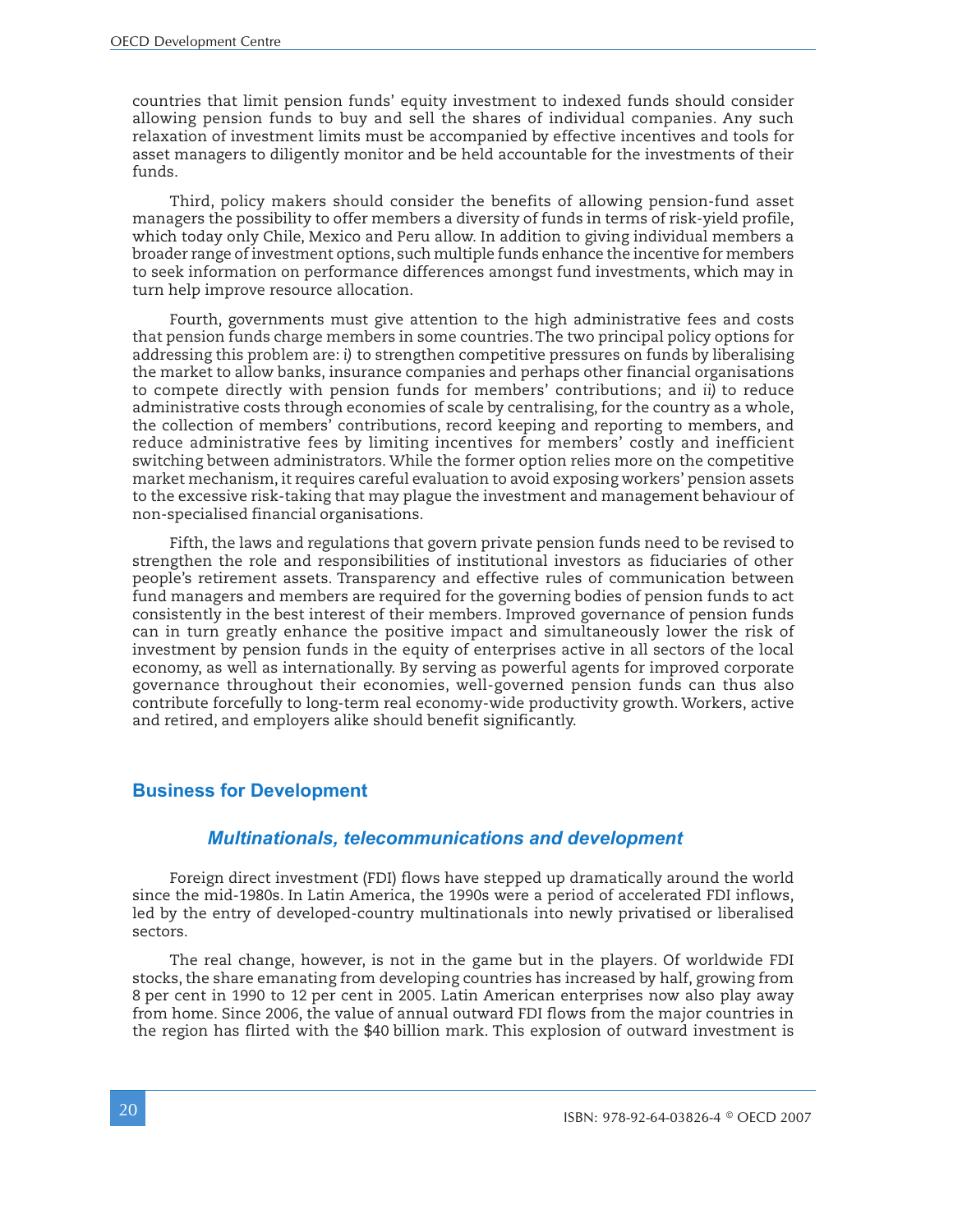countries that limit pension funds' equity investment to indexed funds should consider allowing pension funds to buy and sell the shares of individual companies. Any such relaxation of investment limits must be accompanied by effective incentives and tools for asset managers to diligently monitor and be held accountable for the investments of their funds.

Third, policy makers should consider the benefits of allowing pension-fund asset managers the possibility to offer members a diversity of funds in terms of risk-yield profile, which today only Chile, Mexico and Peru allow. In addition to giving individual members a broader range of investment options, such multiple funds enhance the incentive for members to seek information on performance differences amongst fund investments, which may in turn help improve resource allocation.

Fourth, governments must give attention to the high administrative fees and costs that pension funds charge members in some countries. The two principal policy options for addressing this problem are: *i)* to strengthen competitive pressures on funds by liberalising the market to allow banks, insurance companies and perhaps other financial organisations to compete directly with pension funds for members' contributions; and *ii)* to reduce administrative costs through economies of scale by centralising, for the country as a whole, the collection of members' contributions, record keeping and reporting to members, and reduce administrative fees by limiting incentives for members' costly and inefficient switching between administrators. While the former option relies more on the competitive market mechanism, it requires careful evaluation to avoid exposing workers' pension assets to the excessive risk-taking that may plague the investment and management behaviour of non-specialised financial organisations.

Fifth, the laws and regulations that govern private pension funds need to be revised to strengthen the role and responsibilities of institutional investors as fiduciaries of other people's retirement assets. Transparency and effective rules of communication between fund managers and members are required for the governing bodies of pension funds to act consistently in the best interest of their members. Improved governance of pension funds can in turn greatly enhance the positive impact and simultaneously lower the risk of investment by pension funds in the equity of enterprises active in all sectors of the local economy, as well as internationally. By serving as powerful agents for improved corporate governance throughout their economies, well-governed pension funds can thus also contribute forcefully to long-term real economy-wide productivity growth. Workers, active and retired, and employers alike should benefit significantly.

# **Business for Development**

# *Multinationals, telecommunications and development*

Foreign direct investment (FDI) flows have stepped up dramatically around the world since the mid-1980s. In Latin America, the 1990s were a period of accelerated FDI inflows, led by the entry of developed-country multinationals into newly privatised or liberalised sectors.

The real change, however, is not in the game but in the players. Of worldwide FDI stocks, the share emanating from developing countries has increased by half, growing from 8 per cent in 1990 to 12 per cent in 2005. Latin American enterprises now also play away from home. Since 2006, the value of annual outward FDI flows from the major countries in the region has flirted with the \$40 billion mark. This explosion of outward investment is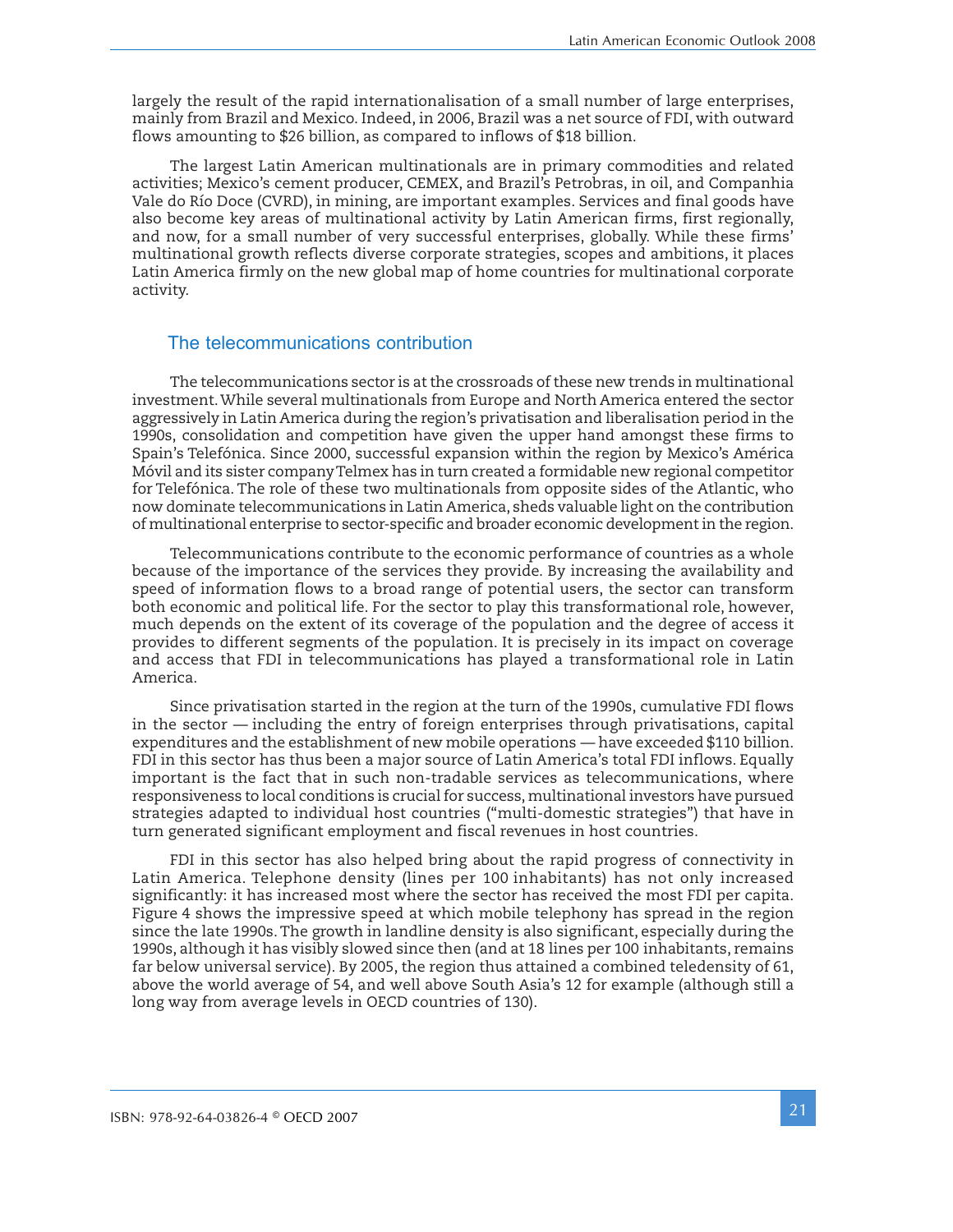largely the result of the rapid internationalisation of a small number of large enterprises, mainly from Brazil and Mexico. Indeed, in 2006, Brazil was a net source of FDI, with outward flows amounting to \$26 billion, as compared to inflows of \$18 billion.

The largest Latin American multinationals are in primary commodities and related activities; Mexico's cement producer, CEMEX, and Brazil's Petrobras, in oil, and Companhia Vale do Río Doce (CVRD), in mining, are important examples. Services and final goods have also become key areas of multinational activity by Latin American firms, first regionally, and now, for a small number of very successful enterprises, globally. While these firms' multinational growth reflects diverse corporate strategies, scopes and ambitions, it places Latin America firmly on the new global map of home countries for multinational corporate activity.

# The telecommunications contribution

The telecommunications sector is at the crossroads of these new trends in multinational investment. While several multinationals from Europe and North America entered the sector aggressively in Latin America during the region's privatisation and liberalisation period in the 1990s, consolidation and competition have given the upper hand amongst these firms to Spain's Telefónica. Since 2000, successful expansion within the region by Mexico's América Móvil and its sister company Telmex has in turn created a formidable new regional competitor for Telefónica. The role of these two multinationals from opposite sides of the Atlantic, who now dominate telecommunications in Latin America, sheds valuable light on the contribution of multinational enterprise to sector-specific and broader economic development in the region.

Telecommunications contribute to the economic performance of countries as a whole because of the importance of the services they provide. By increasing the availability and speed of information flows to a broad range of potential users, the sector can transform both economic and political life. For the sector to play this transformational role, however, much depends on the extent of its coverage of the population and the degree of access it provides to different segments of the population. It is precisely in its impact on coverage and access that FDI in telecommunications has played a transformational role in Latin America.

Since privatisation started in the region at the turn of the 1990s, cumulative FDI flows in the sector — including the entry of foreign enterprises through privatisations, capital expenditures and the establishment of new mobile operations — have exceeded \$110 billion. FDI in this sector has thus been a major source of Latin America's total FDI inflows. Equally important is the fact that in such non-tradable services as telecommunications, where responsiveness to local conditions is crucial for success, multinational investors have pursued strategies adapted to individual host countries ("multi-domestic strategies") that have in turn generated significant employment and fiscal revenues in host countries.

FDI in this sector has also helped bring about the rapid progress of connectivity in Latin America. Telephone density (lines per 100 inhabitants) has not only increased significantly: it has increased most where the sector has received the most FDI per capita. Figure 4 shows the impressive speed at which mobile telephony has spread in the region since the late 1990s. The growth in landline density is also significant, especially during the 1990s, although it has visibly slowed since then (and at 18 lines per 100 inhabitants, remains far below universal service). By 2005, the region thus attained a combined teledensity of 61, above the world average of 54, and well above South Asia's 12 for example (although still a long way from average levels in OECD countries of 130).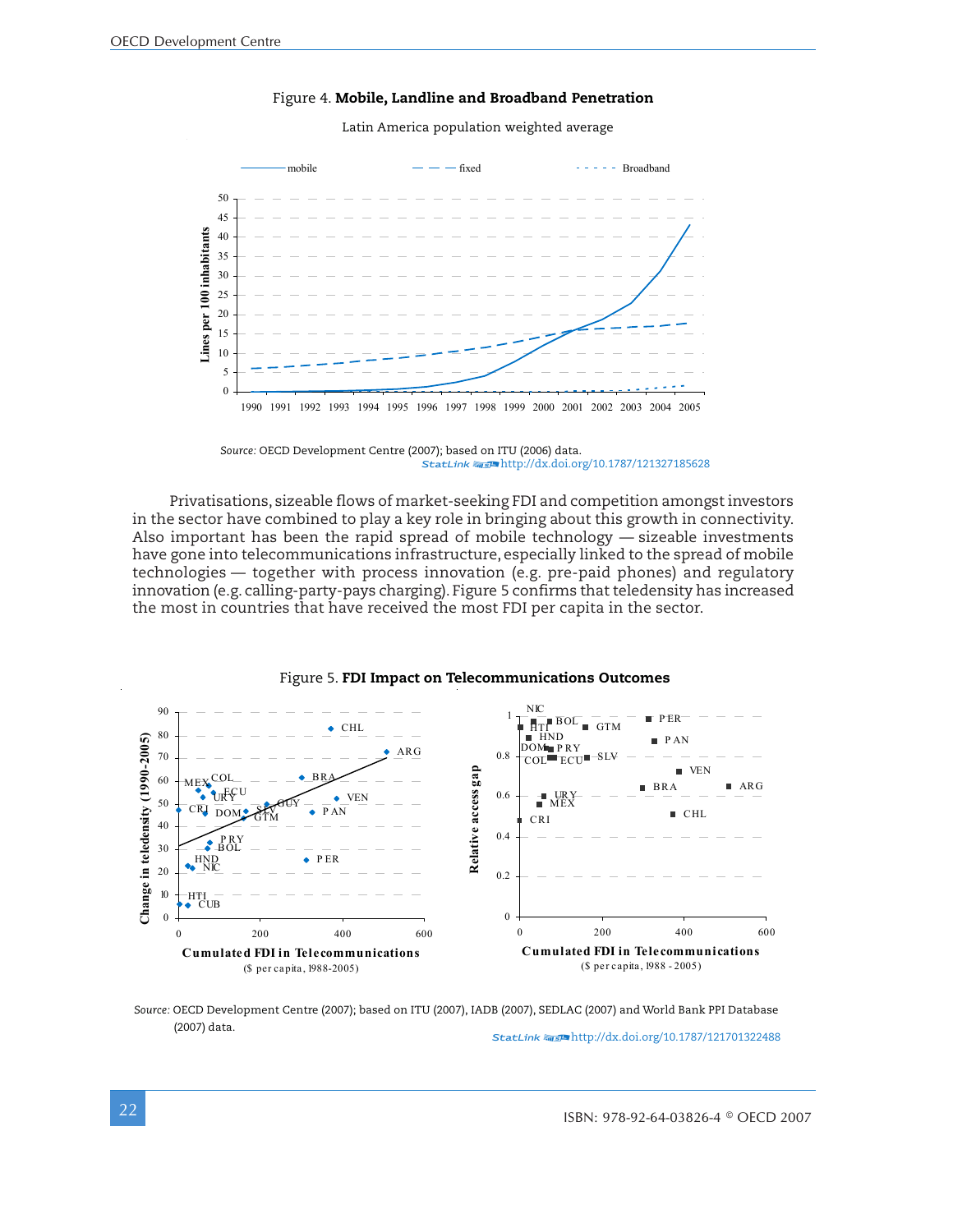

Latin America population weighted average



*Source:* OECD Development Centre (2007); based on ITU (2006) data. StatLink as http://dx.doi.org/10.1787/121327185628

Privatisations, sizeable flows of market-seeking FDI and competition amongst investors in the sector have combined to play a key role in bringing about this growth in connectivity. Also important has been the rapid spread of mobile technology — sizeable investments have gone into telecommunications infrastructure, especially linked to the spread of mobile technologies — together with process innovation (e.g. pre-paid phones) and regulatory innovation (e.g. calling-party-pays charging). Figure 5 confirms that teledensity has increased the most in countries that have received the most FDI per capita in the sector.



Figure 5. **FDI Impact on Telecommunications Outcomes**

*Source:* OECD Development Centre (2007); based on ITU (2007), IADB (2007), SEDLAC (2007) and World Bank PPI Database (2007) data. StatLink @s http://dx.doi.org/10.1787/121701322488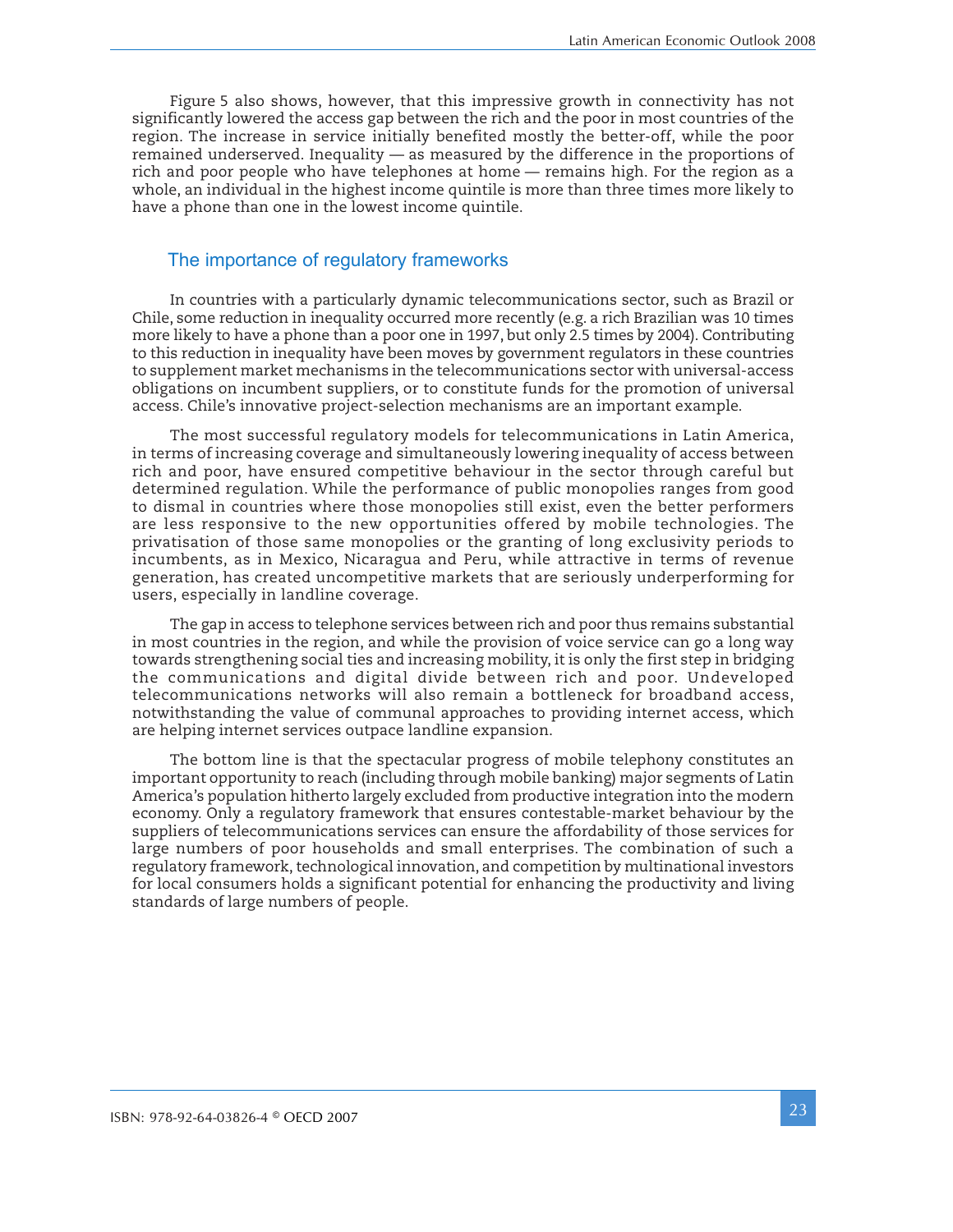Figure 5 also shows, however, that this impressive growth in connectivity has not significantly lowered the access gap between the rich and the poor in most countries of the region. The increase in service initially benefited mostly the better-off, while the poor remained underserved. Inequality — as measured by the difference in the proportions of rich and poor people who have telephones at home — remains high. For the region as a whole, an individual in the highest income quintile is more than three times more likely to have a phone than one in the lowest income quintile.

# The importance of regulatory frameworks

In countries with a particularly dynamic telecommunications sector, such as Brazil or Chile, some reduction in inequality occurred more recently (e.g. a rich Brazilian was 10 times more likely to have a phone than a poor one in 1997, but only 2.5 times by 2004). Contributing to this reduction in inequality have been moves by government regulators in these countries to supplement market mechanisms in the telecommunications sector with universal-access obligations on incumbent suppliers, or to constitute funds for the promotion of universal access. Chile's innovative project-selection mechanisms are an important example.

The most successful regulatory models for telecommunications in Latin America, in terms of increasing coverage and simultaneously lowering inequality of access between rich and poor, have ensured competitive behaviour in the sector through careful but determined regulation. While the performance of public monopolies ranges from good to dismal in countries where those monopolies still exist, even the better performers are less responsive to the new opportunities offered by mobile technologies. The privatisation of those same monopolies or the granting of long exclusivity periods to incumbents, as in Mexico, Nicaragua and Peru, while attractive in terms of revenue generation, has created uncompetitive markets that are seriously underperforming for users, especially in landline coverage.

The gap in access to telephone services between rich and poor thus remains substantial in most countries in the region, and while the provision of voice service can go a long way towards strengthening social ties and increasing mobility, it is only the first step in bridging the communications and digital divide between rich and poor. Undeveloped telecommunications networks will also remain a bottleneck for broadband access, notwithstanding the value of communal approaches to providing internet access, which are helping internet services outpace landline expansion.

The bottom line is that the spectacular progress of mobile telephony constitutes an important opportunity to reach (including through mobile banking) major segments of Latin America's population hitherto largely excluded from productive integration into the modern economy. Only a regulatory framework that ensures contestable-market behaviour by the suppliers of telecommunications services can ensure the affordability of those services for large numbers of poor households and small enterprises. The combination of such a regulatory framework, technological innovation, and competition by multinational investors for local consumers holds a significant potential for enhancing the productivity and living standards of large numbers of people.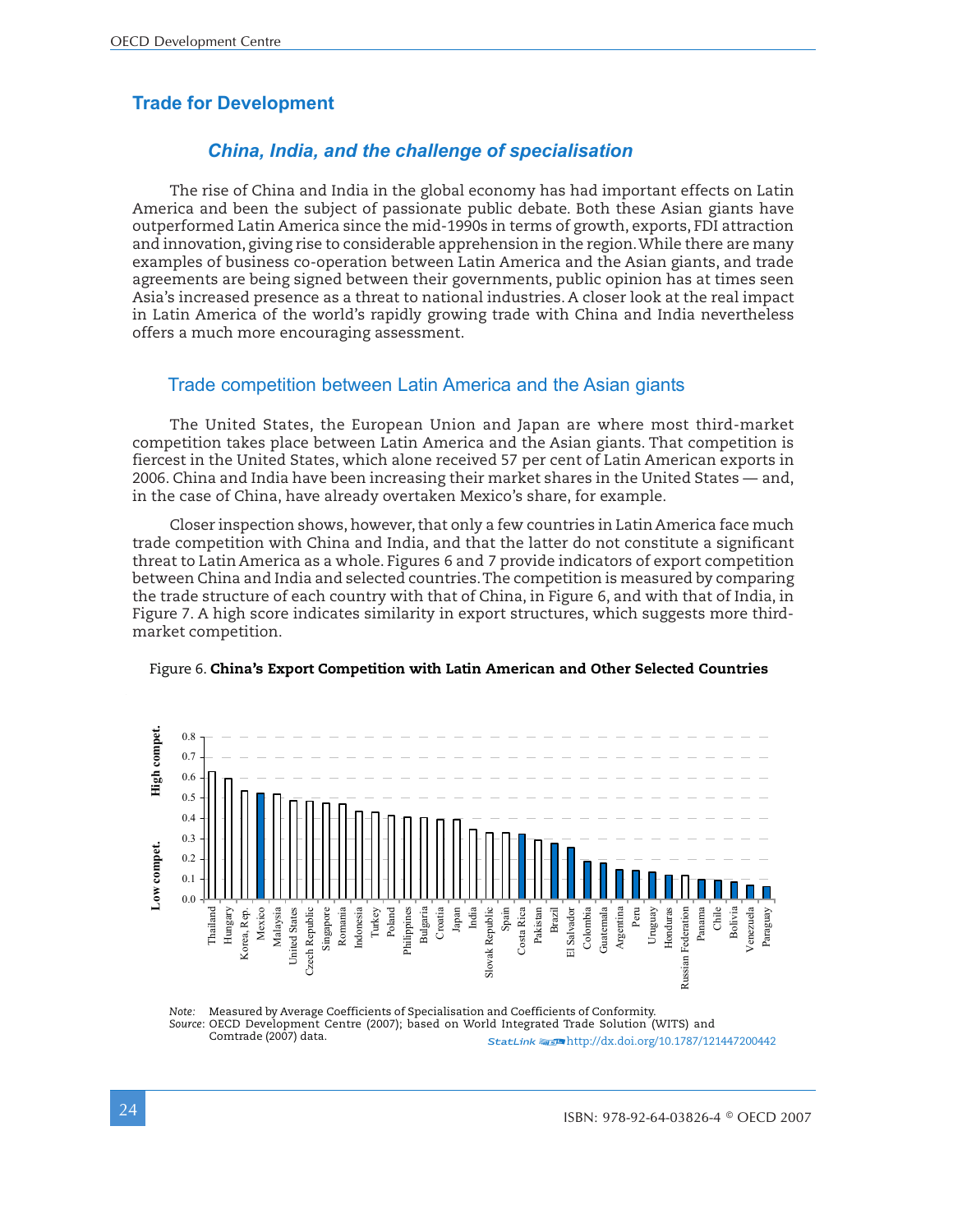# **Trade for Development**

# *China, India, and the challenge of specialisation*

The rise of China and India in the global economy has had important effects on Latin America and been the subject of passionate public debate. Both these Asian giants have outperformed Latin America since the mid-1990s in terms of growth, exports, FDI attraction and innovation, giving rise to considerable apprehension in the region. While there are many examples of business co-operation between Latin America and the Asian giants, and trade agreements are being signed between their governments, public opinion has at times seen Asia's increased presence as a threat to national industries. A closer look at the real impact in Latin America of the world's rapidly growing trade with China and India nevertheless offers a much more encouraging assessment.

# Trade competition between Latin America and the Asian giants

The United States, the European Union and Japan are where most third-market competition takes place between Latin America and the Asian giants. That competition is fiercest in the United States, which alone received 57 per cent of Latin American exports in 2006. China and India have been increasing their market shares in the United States — and, in the case of China, have already overtaken Mexico's share, for example.

Closer inspection shows, however, that only a few countries in Latin America face much trade competition with China and India, and that the latter do not constitute a significant threat to Latin America as a whole. Figures 6 and 7 provide indicators of export competition between China and India and selected countries. The competition is measured by comparing the trade structure of each country with that of China, in Figure 6, and with that of India, in Figure 7. A high score indicates similarity in export structures, which suggests more thirdmarket competition.



#### Figure 6. **China's Export Competition with Latin American and Other Selected Countries**

*Note:* Measured by Average Coefficients of Specialisation and Coefficients of Conformity. *Source*: OECD Development Centre (2007); based on World Integrated Trade Solution (WITS) and Comtrade (2007) data. 12http://dx.doi.org/10.1787/121447200442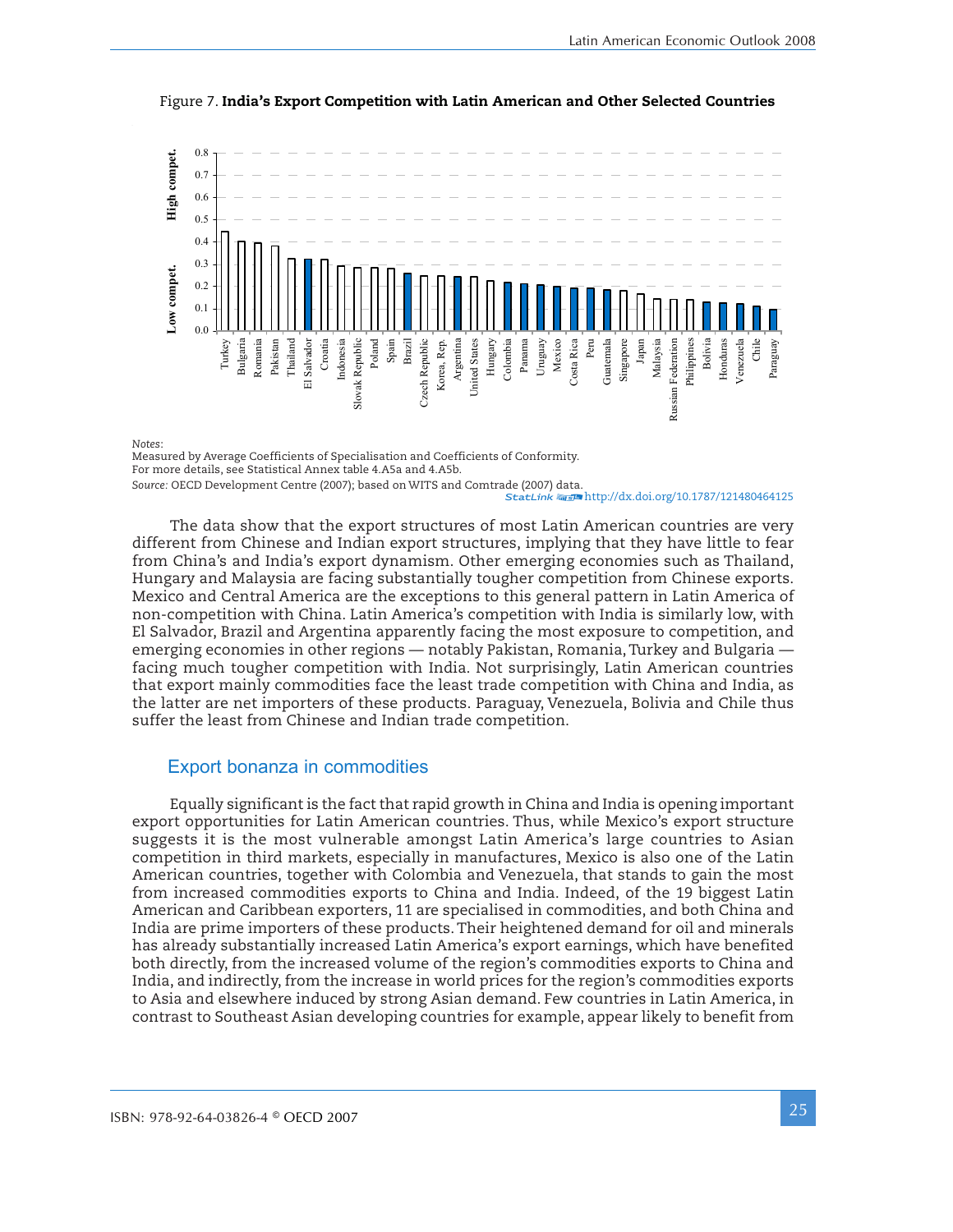

### Figure 7. **India's Export Competition with Latin American and Other Selected Countries**

*Notes*:

Measured by Average Coefficients of Specialisation and Coefficients of Conformity. For more details, see Statistical Annex table 4.A5a and 4.A5b. *Source:* OECD Development Centre (2007); based on WITS and Comtrade (2007) data. StatLink as http://dx.doi.org/10.1787/121480464125

The data show that the export structures of most Latin American countries are very different from Chinese and Indian export structures, implying that they have little to fear from China's and India's export dynamism. Other emerging economies such as Thailand, Hungary and Malaysia are facing substantially tougher competition from Chinese exports. Mexico and Central America are the exceptions to this general pattern in Latin America of non-competition with China. Latin America's competition with India is similarly low, with El Salvador, Brazil and Argentina apparently facing the most exposure to competition, and emerging economies in other regions — notably Pakistan, Romania, Turkey and Bulgaria facing much tougher competition with India. Not surprisingly, Latin American countries that export mainly commodities face the least trade competition with China and India, as the latter are net importers of these products. Paraguay, Venezuela, Bolivia and Chile thus suffer the least from Chinese and Indian trade competition.

# Export bonanza in commodities

Equally significant is the fact that rapid growth in China and India is opening important export opportunities for Latin American countries. Thus, while Mexico's export structure suggests it is the most vulnerable amongst Latin America's large countries to Asian competition in third markets, especially in manufactures, Mexico is also one of the Latin American countries, together with Colombia and Venezuela, that stands to gain the most from increased commodities exports to China and India. Indeed, of the 19 biggest Latin American and Caribbean exporters, 11 are specialised in commodities, and both China and India are prime importers of these products. Their heightened demand for oil and minerals has already substantially increased Latin America's export earnings, which have benefited both directly, from the increased volume of the region's commodities exports to China and India, and indirectly, from the increase in world prices for the region's commodities exports to Asia and elsewhere induced by strong Asian demand. Few countries in Latin America, in contrast to Southeast Asian developing countries for example, appear likely to benefit from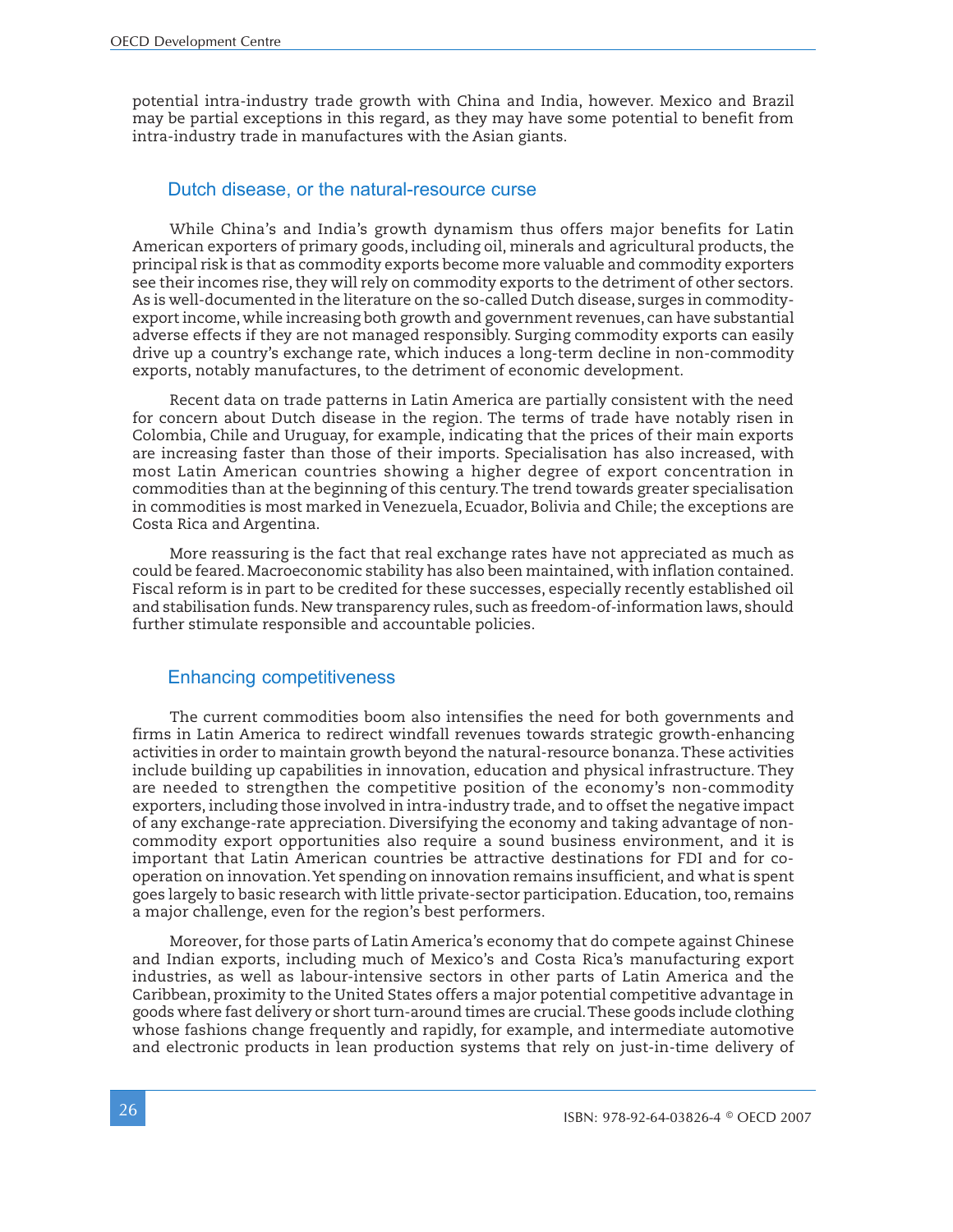potential intra-industry trade growth with China and India, however. Mexico and Brazil may be partial exceptions in this regard, as they may have some potential to benefit from intra-industry trade in manufactures with the Asian giants.

# Dutch disease, or the natural-resource curse

While China's and India's growth dynamism thus offers major benefits for Latin American exporters of primary goods, including oil, minerals and agricultural products, the principal risk is that as commodity exports become more valuable and commodity exporters see their incomes rise, they will rely on commodity exports to the detriment of other sectors. As is well-documented in the literature on the so-called Dutch disease, surges in commodityexport income, while increasing both growth and government revenues, can have substantial adverse effects if they are not managed responsibly. Surging commodity exports can easily drive up a country's exchange rate, which induces a long-term decline in non-commodity exports, notably manufactures, to the detriment of economic development.

Recent data on trade patterns in Latin America are partially consistent with the need for concern about Dutch disease in the region. The terms of trade have notably risen in Colombia, Chile and Uruguay, for example, indicating that the prices of their main exports are increasing faster than those of their imports. Specialisation has also increased, with most Latin American countries showing a higher degree of export concentration in commodities than at the beginning of this century. The trend towards greater specialisation in commodities is most marked in Venezuela, Ecuador, Bolivia and Chile; the exceptions are Costa Rica and Argentina.

More reassuring is the fact that real exchange rates have not appreciated as much as could be feared. Macroeconomic stability has also been maintained, with inflation contained. Fiscal reform is in part to be credited for these successes, especially recently established oil and stabilisation funds. New transparency rules, such as freedom-of-information laws, should further stimulate responsible and accountable policies.

# Enhancing competitiveness

The current commodities boom also intensifies the need for both governments and firms in Latin America to redirect windfall revenues towards strategic growth-enhancing activities in order to maintain growth beyond the natural-resource bonanza. These activities include building up capabilities in innovation, education and physical infrastructure. They are needed to strengthen the competitive position of the economy's non-commodity exporters, including those involved in intra-industry trade, and to offset the negative impact of any exchange-rate appreciation. Diversifying the economy and taking advantage of noncommodity export opportunities also require a sound business environment, and it is important that Latin American countries be attractive destinations for FDI and for cooperation on innovation. Yet spending on innovation remains insufficient, and what is spent goes largely to basic research with little private-sector participation. Education, too, remains a major challenge, even for the region's best performers.

Moreover, for those parts of Latin America's economy that do compete against Chinese and Indian exports, including much of Mexico's and Costa Rica's manufacturing export industries, as well as labour-intensive sectors in other parts of Latin America and the Caribbean, proximity to the United States offers a major potential competitive advantage in goods where fast delivery or short turn-around times are crucial. These goods include clothing whose fashions change frequently and rapidly, for example, and intermediate automotive and electronic products in lean production systems that rely on just-in-time delivery of